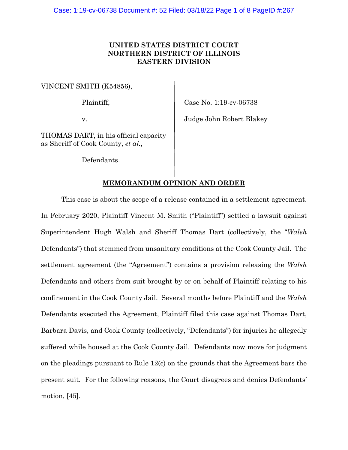## **UNITED STATES DISTRICT COURT NORTHERN DISTRICT OF ILLINOIS EASTERN DIVISION**

VINCENT SMITH (K54856),

Plaintiff, Case No. 1:19-cv-06738

v. Judge John Robert Blakey

THOMAS DART, in his official capacity as Sheriff of Cook County, *et al.*,

Defendants.

# **MEMORANDUM OPINION AND ORDER**

This case is about the scope of a release contained in a settlement agreement. In February 2020, Plaintiff Vincent M. Smith ("Plaintiff") settled a lawsuit against Superintendent Hugh Walsh and Sheriff Thomas Dart (collectively, the "*Walsh* Defendants") that stemmed from unsanitary conditions at the Cook County Jail. The settlement agreement (the "Agreement") contains a provision releasing the *Walsh*  Defendants and others from suit brought by or on behalf of Plaintiff relating to his confinement in the Cook County Jail. Several months before Plaintiff and the *Walsh* Defendants executed the Agreement, Plaintiff filed this case against Thomas Dart, Barbara Davis, and Cook County (collectively, "Defendants") for injuries he allegedly suffered while housed at the Cook County Jail. Defendants now move for judgment on the pleadings pursuant to Rule 12(c) on the grounds that the Agreement bars the present suit. For the following reasons, the Court disagrees and denies Defendants' motion, [45].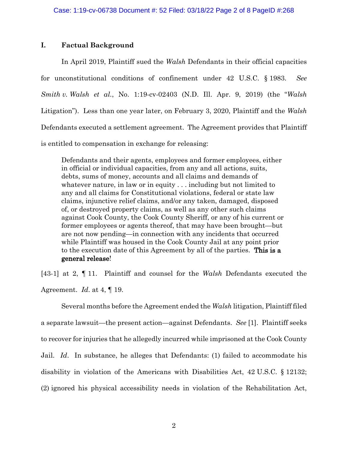## **I. Factual Background**

In April 2019, Plaintiff sued the *Walsh* Defendants in their official capacities for unconstitutional conditions of confinement under 42 U.S.C. § 1983. *See Smith v. Walsh et al.*, No. 1:19-cv-02403 (N.D. Ill. Apr. 9, 2019) (the "*Walsh* Litigation"). Less than one year later, on February 3, 2020, Plaintiff and the *Walsh* Defendants executed a settlement agreement. The Agreement provides that Plaintiff is entitled to compensation in exchange for releasing:

Defendants and their agents, employees and former employees, either in official or individual capacities, from any and all actions, suits, debts, sums of money, accounts and all claims and demands of whatever nature, in law or in equity . . . including but not limited to any and all claims for Constitutional violations, federal or state law claims, injunctive relief claims, and/or any taken, damaged, disposed of, or destroyed property claims, as well as any other such claims against Cook County, the Cook County Sheriff, or any of his current or former employees or agents thereof, that may have been brought—but are not now pending—in connection with any incidents that occurred while Plaintiff was housed in the Cook County Jail at any point prior to the execution date of this Agreement by all of the parties. This is a general release!

[43-1] at 2, ¶ 11. Plaintiff and counsel for the *Walsh* Defendants executed the Agreement. *Id*. at 4, ¶ 19.

Several months before the Agreement ended the *Walsh* litigation, Plaintiff filed a separate lawsuit—the present action—against Defendants. *See* [1]. Plaintiff seeks to recover for injuries that he allegedly incurred while imprisoned at the Cook County Jail. *Id*. In substance, he alleges that Defendants: (1) failed to accommodate his disability in violation of the Americans with Disabilities Act, 42 U.S.C. § 12132; (2) ignored his physical accessibility needs in violation of the Rehabilitation Act,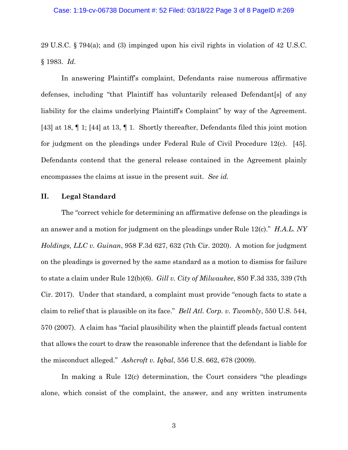## Case: 1:19-cv-06738 Document #: 52 Filed: 03/18/22 Page 3 of 8 PageID #:269

29 U.S.C. § 794(a); and (3) impinged upon his civil rights in violation of 42 U.S.C. § 1983. *Id*.

In answering Plaintiff's complaint, Defendants raise numerous affirmative defenses, including "that Plaintiff has voluntarily released Defendant[s] of any liability for the claims underlying Plaintiff's Complaint" by way of the Agreement. [43] at 18, ¶ 1; [44] at 13, ¶ 1. Shortly thereafter, Defendants filed this joint motion for judgment on the pleadings under Federal Rule of Civil Procedure 12(c). [45]. Defendants contend that the general release contained in the Agreement plainly encompasses the claims at issue in the present suit. *See id.*

### **II. Legal Standard**

The "correct vehicle for determining an affirmative defense on the pleadings is an answer and a motion for judgment on the pleadings under Rule 12(c)." *H.A.L. NY Holdings, LLC v. Guinan*, 958 F.3d 627, 632 (7th Cir. 2020). A motion for judgment on the pleadings is governed by the same standard as a motion to dismiss for failure to state a claim under Rule 12(b)(6). *Gill v. City of Milwaukee*, 850 F.3d 335, 339 (7th Cir. 2017). Under that standard, a complaint must provide "enough facts to state a claim to relief that is plausible on its face." *Bell Atl. Corp. v. Twombly*, 550 U.S. 544, 570 (2007). A claim has "facial plausibility when the plaintiff pleads factual content that allows the court to draw the reasonable inference that the defendant is liable for the misconduct alleged." *Ashcroft v. Iqbal*, 556 U.S. 662, 678 (2009).

In making a Rule 12(c) determination, the Court considers "the pleadings alone, which consist of the complaint, the answer, and any written instruments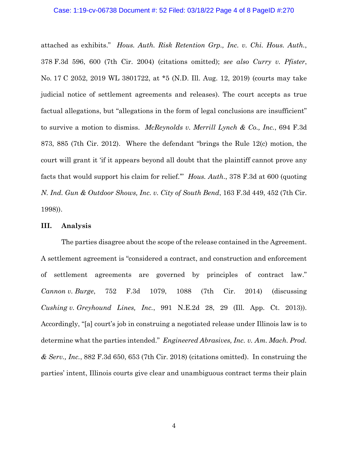#### Case: 1:19-cv-06738 Document #: 52 Filed: 03/18/22 Page 4 of 8 PageID #:270

attached as exhibits." *Hous. Auth. Risk Retention Grp., Inc. v. Chi. Hous. Auth.*, 378 F.3d 596, 600 (7th Cir. 2004) (citations omitted); *see also Curry v. Pfister*, No. 17 C 2052, 2019 WL 3801722, at \*5 (N.D. Ill. Aug. 12, 2019) (courts may take judicial notice of settlement agreements and releases). The court accepts as true factual allegations, but "allegations in the form of legal conclusions are insufficient" to survive a motion to dismiss. *McReynolds v. Merrill Lynch & Co., Inc.*, 694 F.3d 873, 885 (7th Cir. 2012). Where the defendant "brings the Rule 12(c) motion, the court will grant it 'if it appears beyond all doubt that the plaintiff cannot prove any facts that would support his claim for relief.'" *Hous. Auth*., 378 F.3d at 600 (quoting *N. Ind. Gun & Outdoor Shows, Inc. v. City of South Bend*, 163 F.3d 449, 452 (7th Cir. 1998)).

#### **III. Analysis**

The parties disagree about the scope of the release contained in the Agreement. A settlement agreement is "considered a contract, and construction and enforcement of settlement agreements are governed by principles of contract law." *Cannon v. Burge*, 752 F.3d 1079, 1088 (7th Cir. 2014) (discussing *Cushing v. Greyhound Lines, Inc.*, 991 N.E.2d 28, 29 (Ill. App. Ct. 2013)). Accordingly, "[a] court's job in construing a negotiated release under Illinois law is to determine what the parties intended." *Engineered Abrasives, Inc. v. Am. Mach. Prod. & Serv., Inc.*, 882 F.3d 650, 653 (7th Cir. 2018) (citations omitted). In construing the parties' intent, Illinois courts give clear and unambiguous contract terms their plain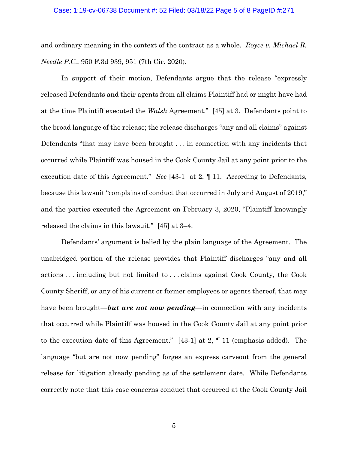## Case: 1:19-cv-06738 Document #: 52 Filed: 03/18/22 Page 5 of 8 PageID #:271

and ordinary meaning in the context of the contract as a whole. *Royce v. Michael R. Needle P.C.*, 950 F.3d 939, 951 (7th Cir. 2020).

In support of their motion, Defendants argue that the release "expressly released Defendants and their agents from all claims Plaintiff had or might have had at the time Plaintiff executed the *Walsh* Agreement." [45] at 3. Defendants point to the broad language of the release; the release discharges "any and all claims" against Defendants "that may have been brought . . . in connection with any incidents that occurred while Plaintiff was housed in the Cook County Jail at any point prior to the execution date of this Agreement." *See* [43-1] at 2, ¶ 11. According to Defendants, because this lawsuit "complains of conduct that occurred in July and August of 2019," and the parties executed the Agreement on February 3, 2020, "Plaintiff knowingly released the claims in this lawsuit." [45] at 3–4.

Defendants' argument is belied by the plain language of the Agreement. The unabridged portion of the release provides that Plaintiff discharges "any and all actions . . . including but not limited to . . . claims against Cook County, the Cook County Sheriff, or any of his current or former employees or agents thereof, that may have been brought—*but are not now pending*—in connection with any incidents that occurred while Plaintiff was housed in the Cook County Jail at any point prior to the execution date of this Agreement." [43-1] at 2, ¶ 11 (emphasis added). The language "but are not now pending" forges an express carveout from the general release for litigation already pending as of the settlement date. While Defendants correctly note that this case concerns conduct that occurred at the Cook County Jail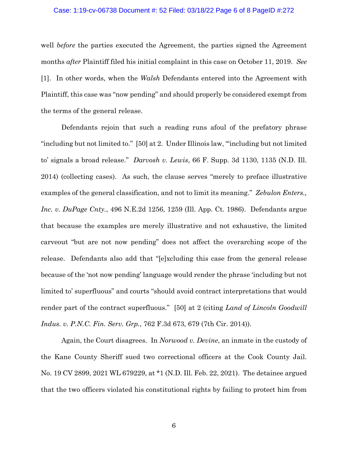#### Case: 1:19-cv-06738 Document #: 52 Filed: 03/18/22 Page 6 of 8 PageID #:272

well *before* the parties executed the Agreement, the parties signed the Agreement months *after* Plaintiff filed his initial complaint in this case on October 11, 2019. *See* [1]. In other words, when the *Walsh* Defendants entered into the Agreement with Plaintiff, this case was "now pending" and should properly be considered exempt from the terms of the general release.

Defendants rejoin that such a reading runs afoul of the prefatory phrase "including but not limited to." [50] at 2. Under Illinois law, "'including but not limited to' signals a broad release." *Darvosh v. Lewis*, 66 F. Supp. 3d 1130, 1135 (N.D. Ill. 2014) (collecting cases). As such, the clause serves "merely to preface illustrative examples of the general classification, and not to limit its meaning." *Zebulon Enters., Inc. v. DuPage Cnty.*, 496 N.E.2d 1256, 1259 (Ill. App. Ct. 1986). Defendants argue that because the examples are merely illustrative and not exhaustive, the limited carveout "but are not now pending" does not affect the overarching scope of the release. Defendants also add that "[e]xcluding this case from the general release because of the 'not now pending' language would render the phrase 'including but not limited to' superfluous" and courts "should avoid contract interpretations that would render part of the contract superfluous." [50] at 2 (citing *Land of Lincoln Goodwill Indus. v. P.N.C. Fin. Serv. Grp.*, 762 F.3d 673, 679 (7th Cir. 2014)).

Again, the Court disagrees. In *Norwood v. Devine*, an inmate in the custody of the Kane County Sheriff sued two correctional officers at the Cook County Jail. No. 19 CV 2899, 2021 WL 679229, at \*1 (N.D. Ill. Feb. 22, 2021). The detainee argued that the two officers violated his constitutional rights by failing to protect him from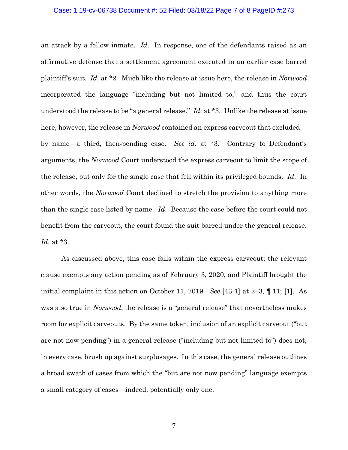#### Case: 1:19-cv-06738 Document #: 52 Filed: 03/18/22 Page 7 of 8 PageID #:273

an attack by a fellow inmate. *Id*. In response, one of the defendants raised as an affirmative defense that a settlement agreement executed in an earlier case barred plaintiff's suit. *Id*. at \*2. Much like the release at issue here, the release in *Norwood* incorporated the language "including but not limited to," and thus the court understood the release to be "a general release." *Id*. at \*3. Unlike the release at issue here, however, the release in *Norwood* contained an express carveout that excluded by name—a third, then-pending case. *See id.* at \*3. Contrary to Defendant's arguments, the *Norwood* Court understood the express carveout to limit the scope of the release, but only for the single case that fell within its privileged bounds. *Id*. In other words, the *Norwood* Court declined to stretch the provision to anything more than the single case listed by name. *Id*. Because the case before the court could not benefit from the carveout, the court found the suit barred under the general release. *Id*. at \*3.

As discussed above, this case falls within the express carveout; the relevant clause exempts any action pending as of February 3, 2020, and Plaintiff brought the initial complaint in this action on October 11, 2019. *See* [43-1] at 2–3, ¶ 11; [1]. As was also true in *Norwood*, the release is a "general release" that nevertheless makes room for explicit carveouts. By the same token, inclusion of an explicit carveout ("but are not now pending") in a general release ("including but not limited to") does not, in every case, brush up against surplusages. In this case, the general release outlines a broad swath of cases from which the "but are not now pending" language exempts a small category of cases—indeed, potentially only one.